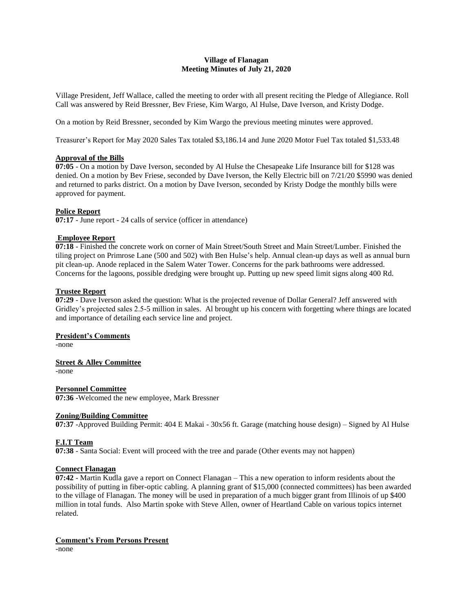# **Village of Flanagan Meeting Minutes of July 21, 2020**

Village President, Jeff Wallace, called the meeting to order with all present reciting the Pledge of Allegiance. Roll Call was answered by Reid Bressner, Bev Friese, Kim Wargo, Al Hulse, Dave Iverson, and Kristy Dodge.

On a motion by Reid Bressner, seconded by Kim Wargo the previous meeting minutes were approved.

Treasurer's Report for May 2020 Sales Tax totaled \$3,186.14 and June 2020 Motor Fuel Tax totaled \$1,533.48

# **Approval of the Bills**

**07:05** - On a motion by Dave Iverson, seconded by Al Hulse the Chesapeake Life Insurance bill for \$128 was denied. On a motion by Bev Friese, seconded by Dave Iverson, the Kelly Electric bill on 7/21/20 \$5990 was denied and returned to parks district. On a motion by Dave Iverson, seconded by Kristy Dodge the monthly bills were approved for payment.

# **Police Report**

**07:17** - June report - 24 calls of service (officer in attendance)

# **Employee Report**

**07:18** - Finished the concrete work on corner of Main Street/South Street and Main Street/Lumber. Finished the tiling project on Primrose Lane (500 and 502) with Ben Hulse's help. Annual clean-up days as well as annual burn pit clean-up. Anode replaced in the Salem Water Tower. Concerns for the park bathrooms were addressed. Concerns for the lagoons, possible dredging were brought up. Putting up new speed limit signs along 400 Rd.

# **Trustee Report**

**07:29** - Dave Iverson asked the question: What is the projected revenue of Dollar General? Jeff answered with Gridley's projected sales 2.5-5 million in sales. Al brought up his concern with forgetting where things are located and importance of detailing each service line and project.

## **President's Comments**

-none

## **Street & Alley Committee**

-none

#### **Personnel Committee 07:36 -**Welcomed the new employee, Mark Bressner

# **Zoning/Building Committee**

**07:37** -Approved Building Permit: 404 E Makai - 30x56 ft. Garage (matching house design) – Signed by Al Hulse

## **F.I.T Team**

**07:38** - Santa Social: Event will proceed with the tree and parade (Other events may not happen)

## **Connect Flanagan**

**07:42** - Martin Kudla gave a report on Connect Flanagan – This a new operation to inform residents about the possibility of putting in fiber-optic cabling. A planning grant of \$15,000 (connected committees) has been awarded to the village of Flanagan. The money will be used in preparation of a much bigger grant from Illinois of up \$400 million in total funds. Also Martin spoke with Steve Allen, owner of Heartland Cable on various topics internet related.

# **Comment's From Persons Present**

-none